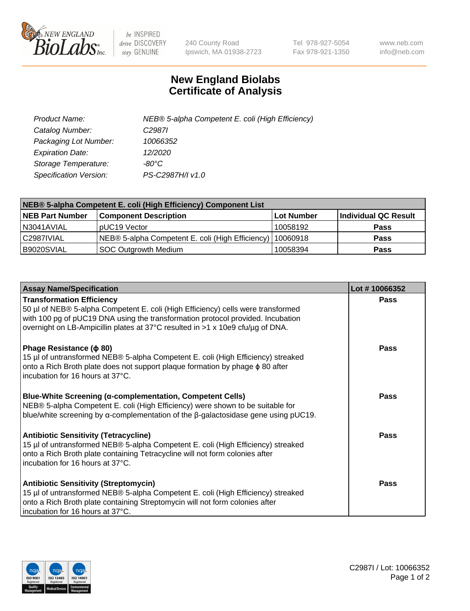

 $be$  INSPIRED drive DISCOVERY stay GENUINE

240 County Road Ipswich, MA 01938-2723 Tel 978-927-5054 Fax 978-921-1350 www.neb.com info@neb.com

## **New England Biolabs Certificate of Analysis**

| Product Name:           | NEB® 5-alpha Competent E. coli (High Efficiency) |
|-------------------------|--------------------------------------------------|
| Catalog Number:         | C <sub>2987</sub>                                |
| Packaging Lot Number:   | 10066352                                         |
| <b>Expiration Date:</b> | 12/2020                                          |
| Storage Temperature:    | -80°C                                            |
| Specification Version:  | PS-C2987H/I v1.0                                 |

| NEB® 5-alpha Competent E. coli (High Efficiency) Component List |                                                             |                   |                      |  |
|-----------------------------------------------------------------|-------------------------------------------------------------|-------------------|----------------------|--|
| <b>NEB Part Number</b>                                          | <b>Component Description</b>                                | <b>Lot Number</b> | Individual QC Result |  |
| N3041AVIAL                                                      | pUC19 Vector                                                | 10058192          | <b>Pass</b>          |  |
| C2987IVIAL                                                      | NEB® 5-alpha Competent E. coli (High Efficiency)   10060918 |                   | <b>Pass</b>          |  |
| B9020SVIAL                                                      | SOC Outgrowth Medium                                        | 10058394          | <b>Pass</b>          |  |

| <b>Assay Name/Specification</b>                                                                                                                                                                                                                                                           | Lot #10066352 |
|-------------------------------------------------------------------------------------------------------------------------------------------------------------------------------------------------------------------------------------------------------------------------------------------|---------------|
| <b>Transformation Efficiency</b><br>50 µl of NEB® 5-alpha Competent E. coli (High Efficiency) cells were transformed<br>with 100 pg of pUC19 DNA using the transformation protocol provided. Incubation<br>overnight on LB-Ampicillin plates at 37°C resulted in >1 x 10e9 cfu/µg of DNA. | <b>Pass</b>   |
| Phage Resistance ( $\phi$ 80)<br>15 µl of untransformed NEB® 5-alpha Competent E. coli (High Efficiency) streaked<br>onto a Rich Broth plate does not support plaque formation by phage $\phi$ 80 after<br>incubation for 16 hours at 37°C.                                               | Pass          |
| Blue-White Screening (α-complementation, Competent Cells)<br>NEB® 5-alpha Competent E. coli (High Efficiency) were shown to be suitable for<br>blue/white screening by $\alpha$ -complementation of the $\beta$ -galactosidase gene using pUC19.                                          | <b>Pass</b>   |
| <b>Antibiotic Sensitivity (Tetracycline)</b><br>15 µl of untransformed NEB® 5-alpha Competent E. coli (High Efficiency) streaked<br>onto a Rich Broth plate containing Tetracycline will not form colonies after<br>incubation for 16 hours at 37°C.                                      | Pass          |
| <b>Antibiotic Sensitivity (Streptomycin)</b><br>15 µl of untransformed NEB® 5-alpha Competent E. coli (High Efficiency) streaked<br>onto a Rich Broth plate containing Streptomycin will not form colonies after<br>incubation for 16 hours at 37°C.                                      | Pass          |